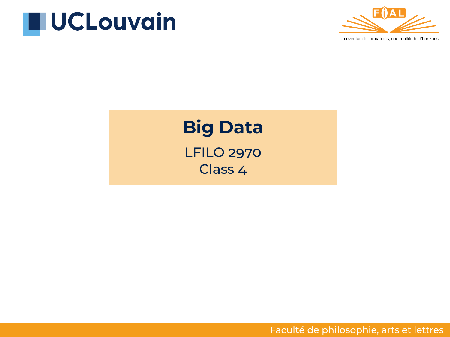



# **Big Data** LFILO 2970

Class 4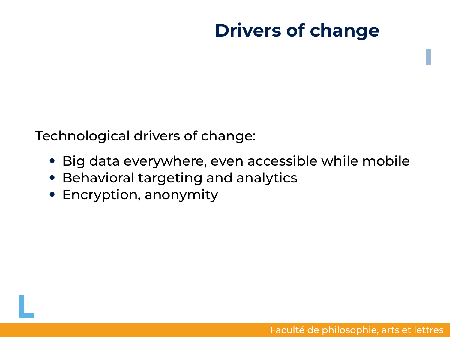Technological drivers of change:

- Big data everywhere, even accessible while mobile
- Behavioral targeting and analytics
- Encryption, anonymity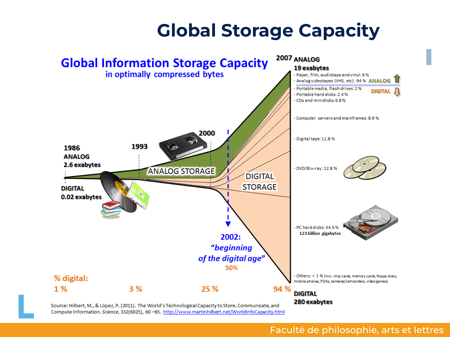# **Global Storage Capacity**



Compute Information, Science, 332(6025), 60 -65, http://www.martinhilbert.net/WorldInfoCapacity.html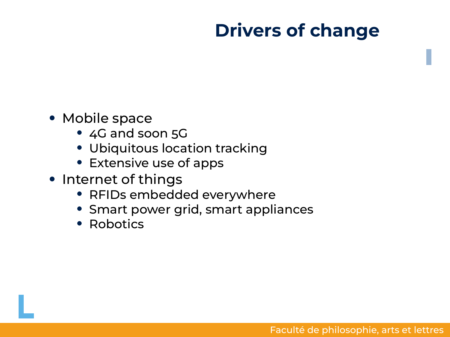- Mobile space
	- 4G and soon 5G
	- Ubiquitous location tracking
	- Extensive use of apps
- Internet of things
	- RFIDs embedded everywhere
	- Smart power grid, smart appliances
	- Robotics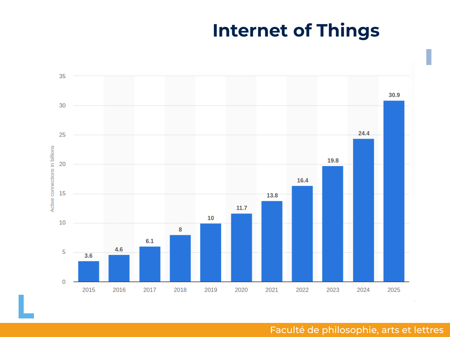#### **Internet of Things**

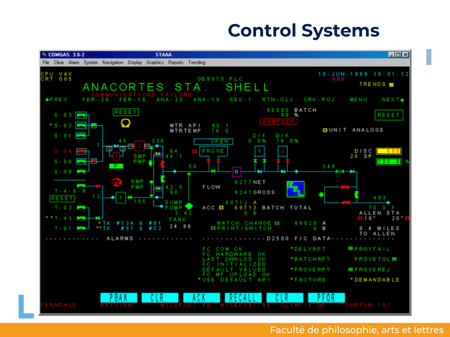#### **Control Systems**

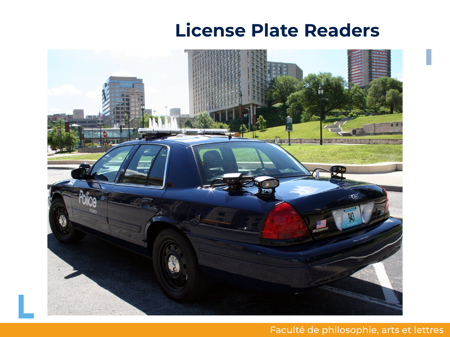#### **License Plate Readers**

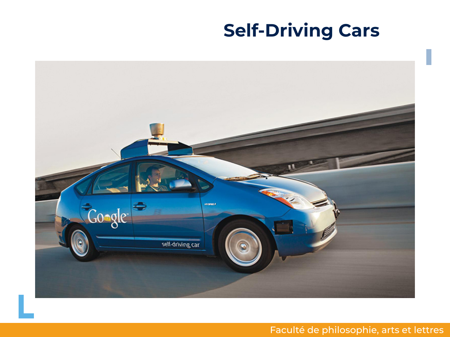# **Self-Driving Cars**

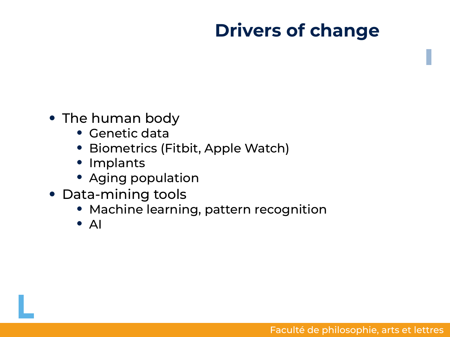- The human body
	- Genetic data
	- Biometrics (Fitbit, Apple Watch)
	- Implants
	- Aging population
- Data-mining tools
	- Machine learning, pattern recognition
	- AI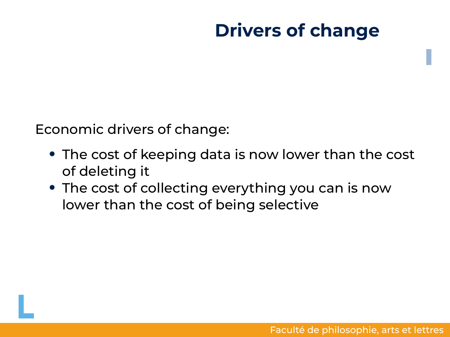Economic drivers of change:

- The cost of keeping data is now lower than the cost of deleting it
- The cost of collecting everything you can is now lower than the cost of being selective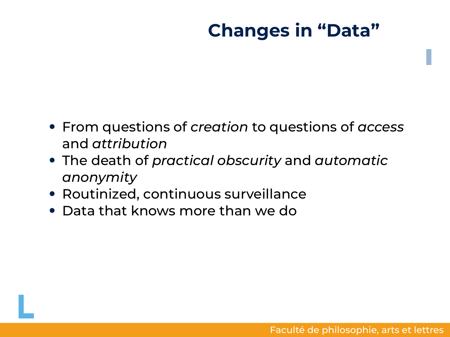## **Changes in "Data"**

- From questions of *creation* to questions of *access* and *attribution*
- The death of *practical obscurity* and *automatic anonymity*
- Routinized, continuous surveillance
- Data that knows more than we do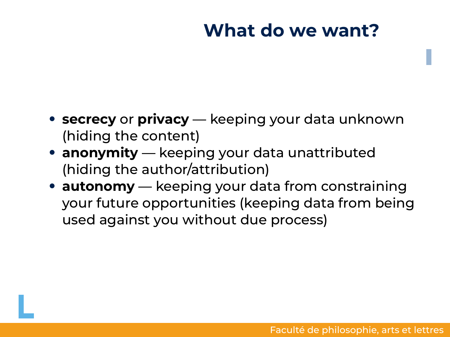#### **What do we want?**

- **secrecy** or **privacy** keeping your data unknown (hiding the content)
- **anonymity** keeping your data unattributed (hiding the author/attribution)
- **autonomy** keeping your data from constraining your future opportunities (keeping data from being used against you without due process)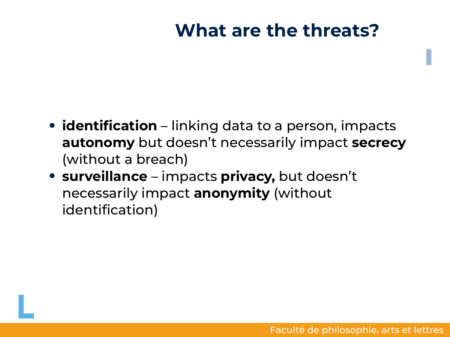#### **What are the threats?**

- **identification** linking data to a person, impacts **autonomy** but doesn't necessarily impact **secrecy** (without a breach)
- **surveillance** impacts **privacy,** but doesn't necessarily impact **anonymity** (without identification)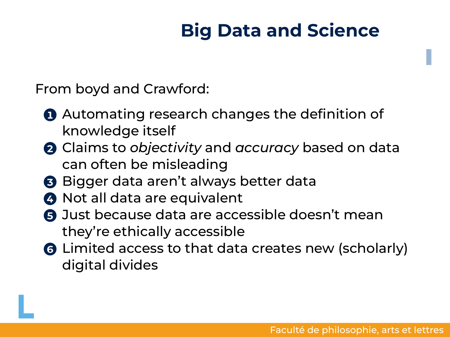# **Big Data and Science**

From boyd and Crawford:

- **1** Automating research changes the definition of knowledge itself
- **2** Claims to *objectivity* and *accuracy* based on data can often be misleading
- **3** Bigger data aren't always better data
- **4** Not all data are equivalent
- **6** Just because data are accessible doesn't mean they're ethically accessible
- **6** Limited access to that data creates new (scholarly) digital divides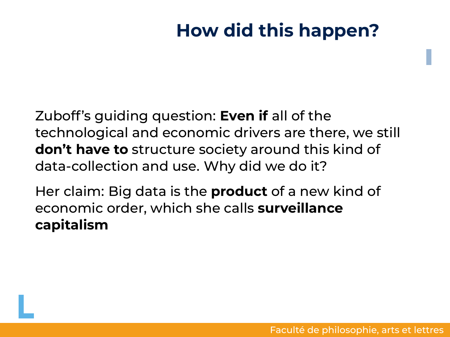### **How did this happen?**

Zuboff's guiding question: **Even if** all of the technological and economic drivers are there, we still **don't have to** structure society around this kind of data-collection and use. Why did we do it?

Her claim: Big data is the **product** of a new kind of economic order, which she calls **surveillance capitalism**